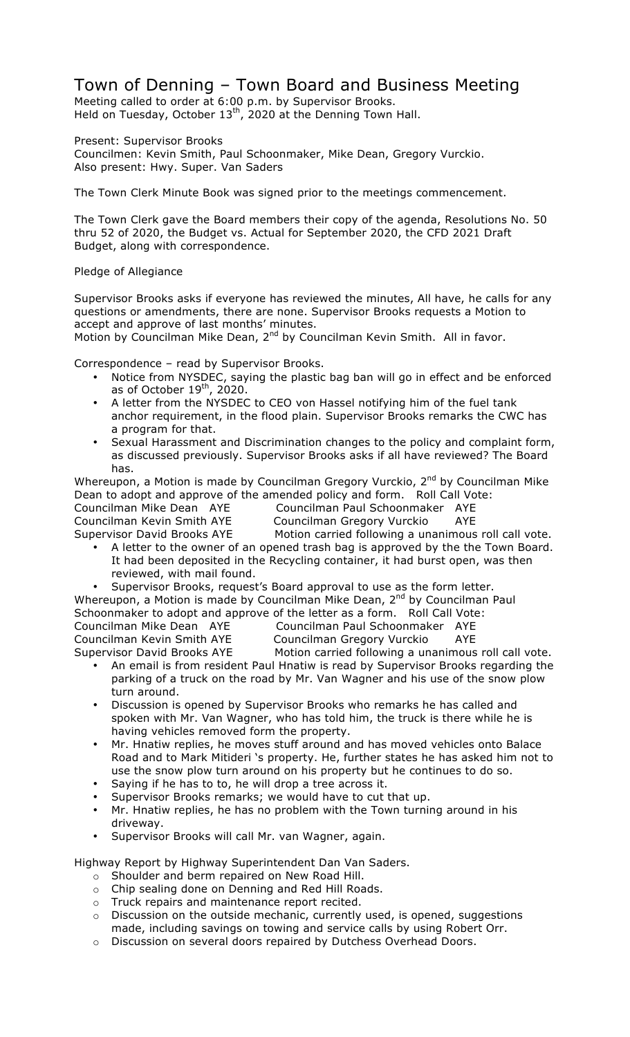# Town of Denning – Town Board and Business Meeting

Meeting called to order at 6:00 p.m. by Supervisor Brooks. Held on Tuesday, October  $13<sup>th</sup>$ , 2020 at the Denning Town Hall.

Present: Supervisor Brooks Councilmen: Kevin Smith, Paul Schoonmaker, Mike Dean, Gregory Vurckio. Also present: Hwy. Super. Van Saders

The Town Clerk Minute Book was signed prior to the meetings commencement.

The Town Clerk gave the Board members their copy of the agenda, Resolutions No. 50 thru 52 of 2020, the Budget vs. Actual for September 2020, the CFD 2021 Draft Budget, along with correspondence.

### Pledge of Allegiance

Supervisor Brooks asks if everyone has reviewed the minutes, All have, he calls for any questions or amendments, there are none. Supervisor Brooks requests a Motion to accept and approve of last months' minutes.

Motion by Councilman Mike Dean, 2<sup>nd</sup> by Councilman Kevin Smith. All in favor.

Correspondence – read by Supervisor Brooks.

- Notice from NYSDEC, saying the plastic bag ban will go in effect and be enforced as of October  $19<sup>th</sup>$ , 2020.
- A letter from the NYSDEC to CEO von Hassel notifying him of the fuel tank anchor requirement, in the flood plain. Supervisor Brooks remarks the CWC has a program for that.
- Sexual Harassment and Discrimination changes to the policy and complaint form, as discussed previously. Supervisor Brooks asks if all have reviewed? The Board has.

Whereupon, a Motion is made by Councilman Gregory Vurckio,  $2^{nd}$  by Councilman Mike Dean to adopt and approve of the amended policy and form. Roll Call Vote: Councilman Mike Dean AYE Councilman Paul Schoonmaker AYE

Councilman Kevin Smith AYE Councilman Gregory Vurckio AYE

Supervisor David Brooks AYE Motion carried following a unanimous roll call vote.

• A letter to the owner of an opened trash bag is approved by the the Town Board. It had been deposited in the Recycling container, it had burst open, was then reviewed, with mail found.

• Supervisor Brooks, request's Board approval to use as the form letter. Whereupon, a Motion is made by Councilman Mike Dean, 2<sup>nd</sup> by Councilman Paul Schoonmaker to adopt and approve of the letter as a form. Roll Call Vote: Councilman Mike Dean AYE Councilman Paul Schoonmaker AYE Councilman Kevin Smith AYE Councilman Gregory Vurckio AYE

Supervisor David Brooks AYE Motion carried following a unanimous roll call vote. • An email is from resident Paul Hnatiw is read by Supervisor Brooks regarding the parking of a truck on the road by Mr. Van Wagner and his use of the snow plow turn around.

- Discussion is opened by Supervisor Brooks who remarks he has called and spoken with Mr. Van Wagner, who has told him, the truck is there while he is having vehicles removed form the property.
- Mr. Hnatiw replies, he moves stuff around and has moved vehicles onto Balace Road and to Mark Mitideri 's property. He, further states he has asked him not to use the snow plow turn around on his property but he continues to do so.
- Saying if he has to to, he will drop a tree across it.
- Supervisor Brooks remarks; we would have to cut that up.
- Mr. Hnatiw replies, he has no problem with the Town turning around in his driveway.
- Supervisor Brooks will call Mr. van Wagner, again.

Highway Report by Highway Superintendent Dan Van Saders.

- o Shoulder and berm repaired on New Road Hill.
- o Chip sealing done on Denning and Red Hill Roads.
- o Truck repairs and maintenance report recited.
- o Discussion on the outside mechanic, currently used, is opened, suggestions made, including savings on towing and service calls by using Robert Orr.
- o Discussion on several doors repaired by Dutchess Overhead Doors.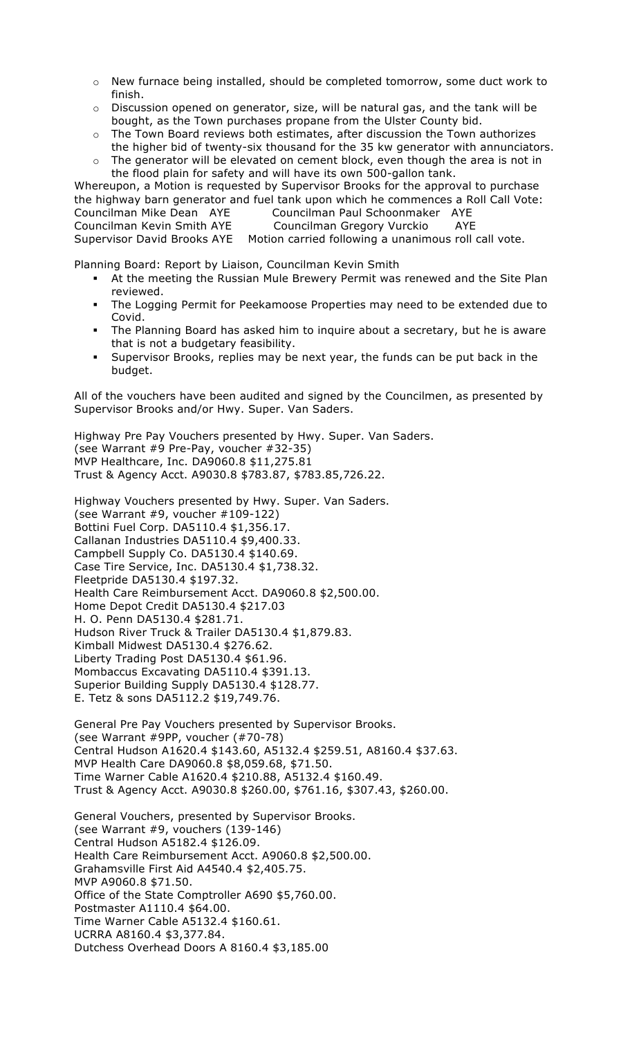- o New furnace being installed, should be completed tomorrow, some duct work to finish.
- $\circ$  Discussion opened on generator, size, will be natural gas, and the tank will be bought, as the Town purchases propane from the Ulster County bid.
- $\circ$  The Town Board reviews both estimates, after discussion the Town authorizes the higher bid of twenty-six thousand for the 35 kw generator with annunciators.
- $\circ$  The generator will be elevated on cement block, even though the area is not in the flood plain for safety and will have its own 500-gallon tank.

Whereupon, a Motion is requested by Supervisor Brooks for the approval to purchase the highway barn generator and fuel tank upon which he commences a Roll Call Vote: Councilman Mike Dean AYE Councilman Paul Schoonmaker AYE Councilman Kevin Smith AYE Councilman Gregory Vurckio AYE Supervisor David Brooks AYE Motion carried following a unanimous roll call vote.

Planning Board: Report by Liaison, Councilman Kevin Smith

- ! At the meeting the Russian Mule Brewery Permit was renewed and the Site Plan reviewed.
- ! The Logging Permit for Peekamoose Properties may need to be extended due to Covid.
- ! The Planning Board has asked him to inquire about a secretary, but he is aware that is not a budgetary feasibility.
- Supervisor Brooks, replies may be next year, the funds can be put back in the budget.

All of the vouchers have been audited and signed by the Councilmen, as presented by Supervisor Brooks and/or Hwy. Super. Van Saders.

Highway Pre Pay Vouchers presented by Hwy. Super. Van Saders. (see Warrant #9 Pre-Pay, voucher #32-35) MVP Healthcare, Inc. DA9060.8 \$11,275.81 Trust & Agency Acct. A9030.8 \$783.87, \$783.85,726.22. Highway Vouchers presented by Hwy. Super. Van Saders.

(see Warrant #9, voucher #109-122) Bottini Fuel Corp. DA5110.4 \$1,356.17. Callanan Industries DA5110.4 \$9,400.33. Campbell Supply Co. DA5130.4 \$140.69. Case Tire Service, Inc. DA5130.4 \$1,738.32. Fleetpride DA5130.4 \$197.32. Health Care Reimbursement Acct. DA9060.8 \$2,500.00. Home Depot Credit DA5130.4 \$217.03 H. O. Penn DA5130.4 \$281.71. Hudson River Truck & Trailer DA5130.4 \$1,879.83. Kimball Midwest DA5130.4 \$276.62. Liberty Trading Post DA5130.4 \$61.96. Mombaccus Excavating DA5110.4 \$391.13. Superior Building Supply DA5130.4 \$128.77. E. Tetz & sons DA5112.2 \$19,749.76.

General Pre Pay Vouchers presented by Supervisor Brooks. (see Warrant #9PP, voucher (#70-78) Central Hudson A1620.4 \$143.60, A5132.4 \$259.51, A8160.4 \$37.63. MVP Health Care DA9060.8 \$8,059.68, \$71.50. Time Warner Cable A1620.4 \$210.88, A5132.4 \$160.49. Trust & Agency Acct. A9030.8 \$260.00, \$761.16, \$307.43, \$260.00.

General Vouchers, presented by Supervisor Brooks. (see Warrant #9, vouchers (139-146) Central Hudson A5182.4 \$126.09. Health Care Reimbursement Acct. A9060.8 \$2,500.00. Grahamsville First Aid A4540.4 \$2,405.75. MVP A9060.8 \$71.50. Office of the State Comptroller A690 \$5,760.00. Postmaster A1110.4 \$64.00. Time Warner Cable A5132.4 \$160.61. UCRRA A8160.4 \$3,377.84. Dutchess Overhead Doors A 8160.4 \$3,185.00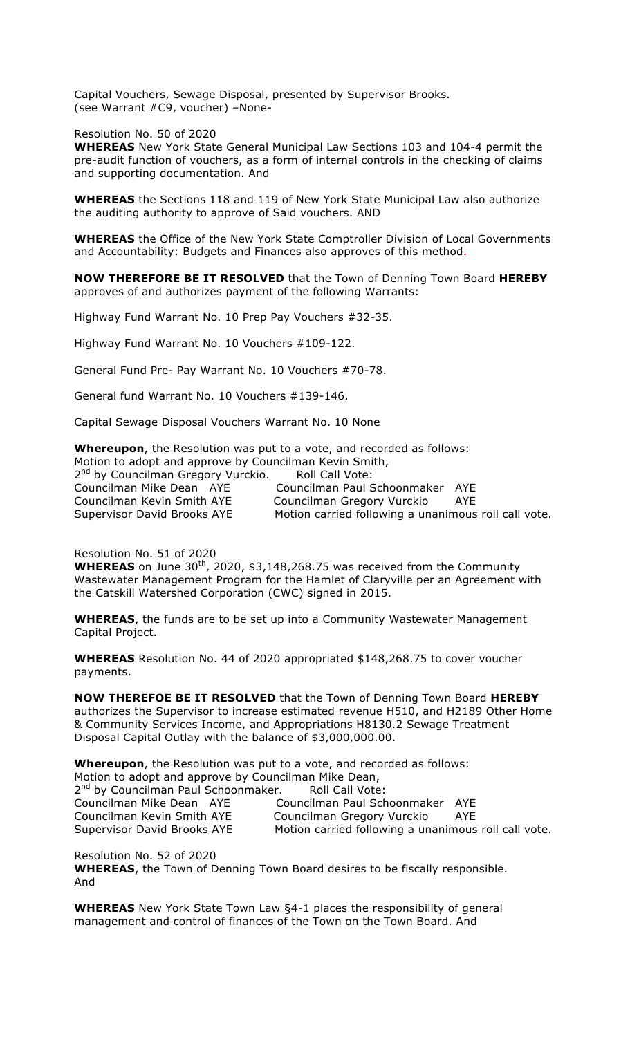Capital Vouchers, Sewage Disposal, presented by Supervisor Brooks. (see Warrant #C9, voucher) –None-

#### Resolution No. 50 of 2020

**WHEREAS** New York State General Municipal Law Sections 103 and 104-4 permit the pre-audit function of vouchers, as a form of internal controls in the checking of claims and supporting documentation. And

**WHEREAS** the Sections 118 and 119 of New York State Municipal Law also authorize the auditing authority to approve of Said vouchers. AND

**WHEREAS** the Office of the New York State Comptroller Division of Local Governments and Accountability: Budgets and Finances also approves of this method.

**NOW THEREFORE BE IT RESOLVED** that the Town of Denning Town Board **HEREBY** approves of and authorizes payment of the following Warrants:

Highway Fund Warrant No. 10 Prep Pay Vouchers #32-35.

Highway Fund Warrant No. 10 Vouchers #109-122.

General Fund Pre- Pay Warrant No. 10 Vouchers #70-78.

General fund Warrant No. 10 Vouchers #139-146.

Capital Sewage Disposal Vouchers Warrant No. 10 None

**Whereupon**, the Resolution was put to a vote, and recorded as follows: Motion to adopt and approve by Councilman Kevin Smith, 2<sup>nd</sup> by Councilman Gregory Vurckio. Roll Call Vote: Councilman Mike Dean AYE Councilman Paul Schoonmaker AYE Councilman Kevin Smith AYE Councilman Gregory Vurckio AYE<br>Supervisor David Brooks AYE Motion carried following a unanimous Motion carried following a unanimous roll call vote.

Resolution No. 51 of 2020

**WHEREAS** on June 30<sup>th</sup>, 2020, \$3,148,268.75 was received from the Community Wastewater Management Program for the Hamlet of Claryville per an Agreement with the Catskill Watershed Corporation (CWC) signed in 2015.

**WHEREAS**, the funds are to be set up into a Community Wastewater Management Capital Project.

**WHEREAS** Resolution No. 44 of 2020 appropriated \$148,268.75 to cover voucher payments.

**NOW THEREFOE BE IT RESOLVED** that the Town of Denning Town Board **HEREBY** authorizes the Supervisor to increase estimated revenue H510, and H2189 Other Home & Community Services Income, and Appropriations H8130.2 Sewage Treatment Disposal Capital Outlay with the balance of \$3,000,000.00.

**Whereupon**, the Resolution was put to a vote, and recorded as follows: Motion to adopt and approve by Councilman Mike Dean, 2<sup>nd</sup> by Councilman Paul Schoonmaker. Roll Call Vote: Councilman Mike Dean AYE Councilman Paul Schoonmaker AYE Councilman Kevin Smith AYE Councilman Gregory Vurckio AYE Supervisor David Brooks AYE Motion carried following a unanimous roll call vote.

Resolution No. 52 of 2020

**WHEREAS**, the Town of Denning Town Board desires to be fiscally responsible. And

**WHEREAS** New York State Town Law §4-1 places the responsibility of general management and control of finances of the Town on the Town Board. And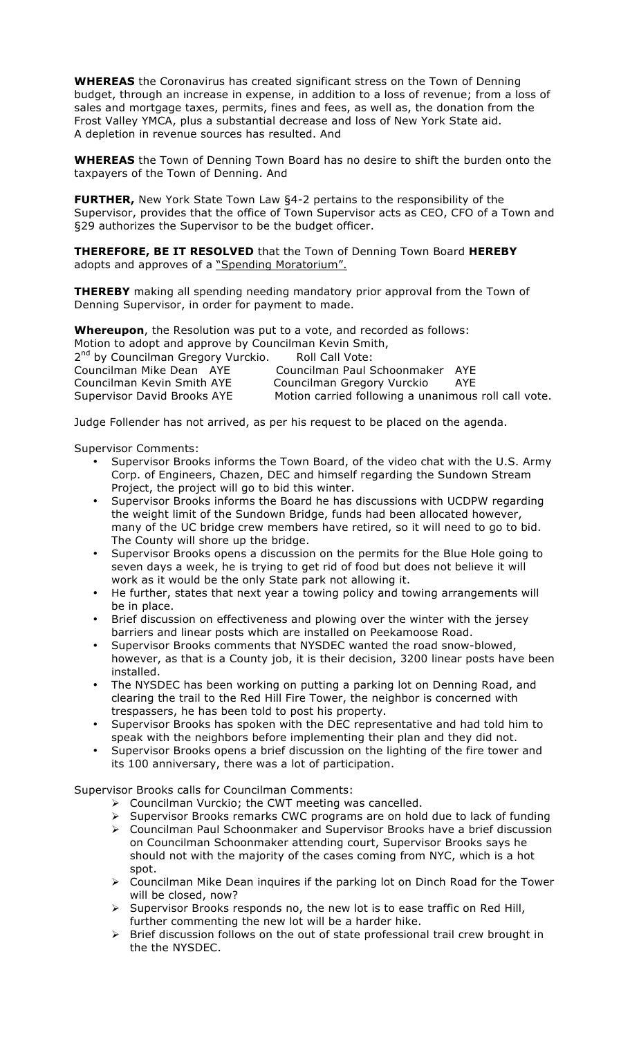**WHEREAS** the Coronavirus has created significant stress on the Town of Denning budget, through an increase in expense, in addition to a loss of revenue; from a loss of sales and mortgage taxes, permits, fines and fees, as well as, the donation from the Frost Valley YMCA, plus a substantial decrease and loss of New York State aid. A depletion in revenue sources has resulted. And

**WHEREAS** the Town of Denning Town Board has no desire to shift the burden onto the taxpayers of the Town of Denning. And

**FURTHER,** New York State Town Law §4-2 pertains to the responsibility of the Supervisor, provides that the office of Town Supervisor acts as CEO, CFO of a Town and §29 authorizes the Supervisor to be the budget officer.

**THEREFORE, BE IT RESOLVED** that the Town of Denning Town Board **HEREBY** adopts and approves of a "Spending Moratorium".

**THEREBY** making all spending needing mandatory prior approval from the Town of Denning Supervisor, in order for payment to made.

**Whereupon**, the Resolution was put to a vote, and recorded as follows: Motion to adopt and approve by Councilman Kevin Smith,

| 2 <sup>nd</sup> by Councilman Gregory Vurckio. | Roll Call Vote:                                      |     |
|------------------------------------------------|------------------------------------------------------|-----|
| Councilman Mike Dean AYE                       | Councilman Paul Schoonmaker AYE                      |     |
| Councilman Kevin Smith AYE                     | Councilman Gregory Vurckio                           | AYE |
| Supervisor David Brooks AYE                    | Motion carried following a unanimous roll call vote. |     |

Judge Follender has not arrived, as per his request to be placed on the agenda.

Supervisor Comments:

- Supervisor Brooks informs the Town Board, of the video chat with the U.S. Army Corp. of Engineers, Chazen, DEC and himself regarding the Sundown Stream Project, the project will go to bid this winter.
- Supervisor Brooks informs the Board he has discussions with UCDPW regarding the weight limit of the Sundown Bridge, funds had been allocated however, many of the UC bridge crew members have retired, so it will need to go to bid. The County will shore up the bridge.
- Supervisor Brooks opens a discussion on the permits for the Blue Hole going to seven days a week, he is trying to get rid of food but does not believe it will work as it would be the only State park not allowing it.
- He further, states that next year a towing policy and towing arrangements will be in place.
- Brief discussion on effectiveness and plowing over the winter with the jersey barriers and linear posts which are installed on Peekamoose Road.
- Supervisor Brooks comments that NYSDEC wanted the road snow-blowed, however, as that is a County job, it is their decision, 3200 linear posts have been installed.
- The NYSDEC has been working on putting a parking lot on Denning Road, and clearing the trail to the Red Hill Fire Tower, the neighbor is concerned with trespassers, he has been told to post his property.
- Supervisor Brooks has spoken with the DEC representative and had told him to speak with the neighbors before implementing their plan and they did not.
- Supervisor Brooks opens a brief discussion on the lighting of the fire tower and its 100 anniversary, there was a lot of participation.

Supervisor Brooks calls for Councilman Comments:

- $\triangleright$  Councilman Vurckio; the CWT meeting was cancelled.
- > Supervisor Brooks remarks CWC programs are on hold due to lack of funding
- > Councilman Paul Schoonmaker and Supervisor Brooks have a brief discussion on Councilman Schoonmaker attending court, Supervisor Brooks says he should not with the majority of the cases coming from NYC, which is a hot spot.
- $\triangleright$  Councilman Mike Dean inquires if the parking lot on Dinch Road for the Tower will be closed, now?
- $\triangleright$  Supervisor Brooks responds no, the new lot is to ease traffic on Red Hill, further commenting the new lot will be a harder hike.
- $\triangleright$  Brief discussion follows on the out of state professional trail crew brought in the the NYSDEC.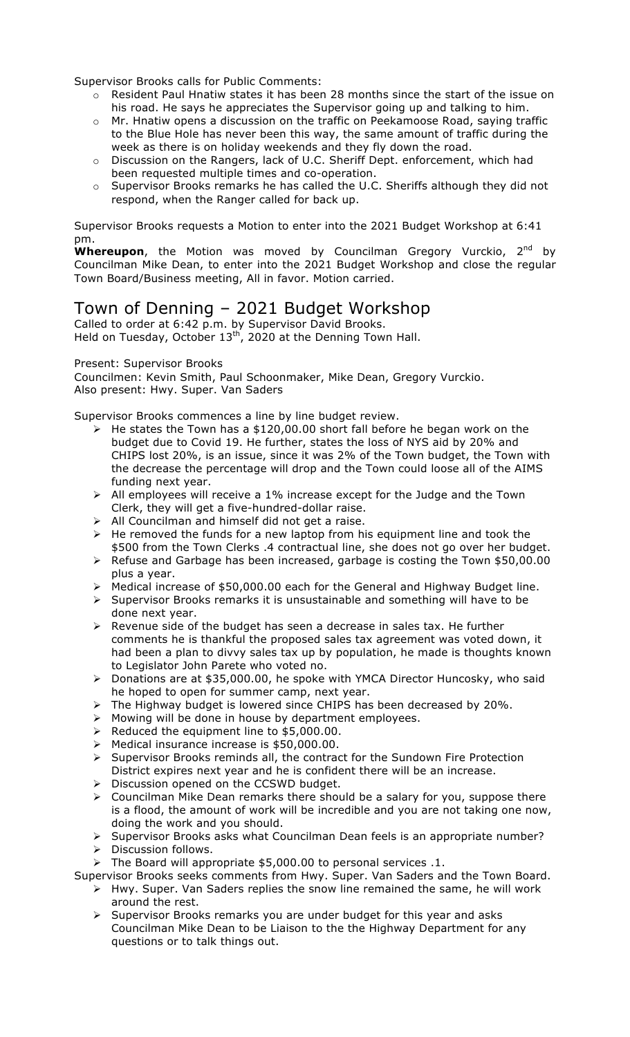Supervisor Brooks calls for Public Comments:

- o Resident Paul Hnatiw states it has been 28 months since the start of the issue on his road. He says he appreciates the Supervisor going up and talking to him.
- $\circ$  Mr. Hnatiw opens a discussion on the traffic on Peekamoose Road, saying traffic to the Blue Hole has never been this way, the same amount of traffic during the week as there is on holiday weekends and they fly down the road.
- o Discussion on the Rangers, lack of U.C. Sheriff Dept. enforcement, which had been requested multiple times and co-operation.
- o Supervisor Brooks remarks he has called the U.C. Sheriffs although they did not respond, when the Ranger called for back up.

Supervisor Brooks requests a Motion to enter into the 2021 Budget Workshop at 6:41 pm.

**Whereupon**, the Motion was moved by Councilman Gregory Vurckio, 2<sup>nd</sup> by Councilman Mike Dean, to enter into the 2021 Budget Workshop and close the regular Town Board/Business meeting, All in favor. Motion carried.

# Town of Denning – 2021 Budget Workshop

Called to order at 6:42 p.m. by Supervisor David Brooks. Held on Tuesday, October 13<sup>th</sup>, 2020 at the Denning Town Hall.

## Present: Supervisor Brooks

Councilmen: Kevin Smith, Paul Schoonmaker, Mike Dean, Gregory Vurckio. Also present: Hwy. Super. Van Saders

Supervisor Brooks commences a line by line budget review.

- $\triangleright$  He states the Town has a \$120,00.00 short fall before he began work on the budget due to Covid 19. He further, states the loss of NYS aid by 20% and CHIPS lost 20%, is an issue, since it was 2% of the Town budget, the Town with the decrease the percentage will drop and the Town could loose all of the AIMS funding next year.
- $\triangleright$  All employees will receive a 1% increase except for the Judge and the Town Clerk, they will get a five-hundred-dollar raise.
- $\triangleright$  All Councilman and himself did not get a raise.
- $\triangleright$  He removed the funds for a new laptop from his equipment line and took the \$500 from the Town Clerks .4 contractual line, she does not go over her budget.
- > Refuse and Garbage has been increased, garbage is costing the Town \$50,00.00 plus a year.
- $\triangleright$  Medical increase of \$50,000.00 each for the General and Highway Budget line.
- > Supervisor Brooks remarks it is unsustainable and something will have to be done next year.
- $\triangleright$  Revenue side of the budget has seen a decrease in sales tax. He further comments he is thankful the proposed sales tax agreement was voted down, it had been a plan to divvy sales tax up by population, he made is thoughts known to Legislator John Parete who voted no.
- > Donations are at \$35,000.00, he spoke with YMCA Director Huncosky, who said he hoped to open for summer camp, next year.
- The Highway budget is lowered since CHIPS has been decreased by 20%. The Highway budget is lowered since can called the Mowing will be done in house by department employees.
- 
- $\blacktriangleright$  Reduced the equipment line to \$5,000.00.
- $\triangleright$  Medical insurance increase is \$50,000.00.
- > Supervisor Brooks reminds all, the contract for the Sundown Fire Protection District expires next year and he is confident there will be an increase.
- $\triangleright$  Discussion opened on the CCSWD budget.
- $\triangleright$  Councilman Mike Dean remarks there should be a salary for you, suppose there is a flood, the amount of work will be incredible and you are not taking one now, doing the work and you should.
- $\triangleright$  Supervisor Brooks asks what Councilman Dean feels is an appropriate number?
- $\triangleright$  Discussion follows.
- $\triangleright$  The Board will appropriate \$5,000.00 to personal services .1.

Supervisor Brooks seeks comments from Hwy. Super. Van Saders and the Town Board.

- $\triangleright$  Hwy. Super. Van Saders replies the snow line remained the same, he will work around the rest.
- $\triangleright$  Supervisor Brooks remarks you are under budget for this year and asks Councilman Mike Dean to be Liaison to the the Highway Department for any questions or to talk things out.